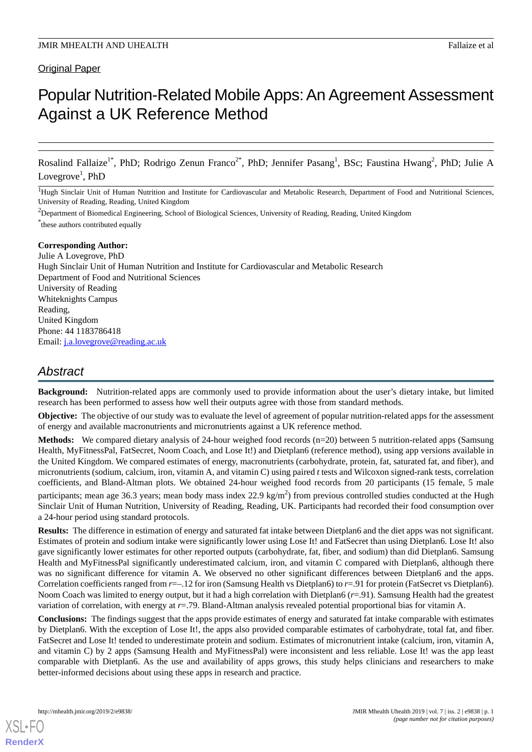### Original Paper

# Popular Nutrition-Related Mobile Apps: An Agreement Assessment Against a UK Reference Method

Rosalind Fallaize<sup>1\*</sup>, PhD; Rodrigo Zenun Franco<sup>2\*</sup>, PhD; Jennifer Pasang<sup>1</sup>, BSc; Faustina Hwang<sup>2</sup>, PhD; Julie A Lovegrove<sup>1</sup>, PhD

<sup>1</sup>Hugh Sinclair Unit of Human Nutrition and Institute for Cardiovascular and Metabolic Research, Department of Food and Nutritional Sciences, University of Reading, Reading, United Kingdom

<sup>2</sup>Department of Biomedical Engineering, School of Biological Sciences, University of Reading, Reading, United Kingdom \* these authors contributed equally

#### **Corresponding Author:**

Julie A Lovegrove, PhD Hugh Sinclair Unit of Human Nutrition and Institute for Cardiovascular and Metabolic Research Department of Food and Nutritional Sciences University of Reading Whiteknights Campus Reading, United Kingdom Phone: 44 1183786418 Email: [j.a.lovegrove@reading.ac.uk](mailto:j.a.lovegrove@reading.ac.uk)

## *Abstract*

**Background:** Nutrition-related apps are commonly used to provide information about the user's dietary intake, but limited research has been performed to assess how well their outputs agree with those from standard methods.

**Objective:** The objective of our study was to evaluate the level of agreement of popular nutrition-related apps for the assessment of energy and available macronutrients and micronutrients against a UK reference method.

**Methods:** We compared dietary analysis of 24-hour weighed food records (n=20) between 5 nutrition-related apps (Samsung Health, MyFitnessPal, FatSecret, Noom Coach, and Lose It!) and Dietplan6 (reference method), using app versions available in the United Kingdom. We compared estimates of energy, macronutrients (carbohydrate, protein, fat, saturated fat, and fiber), and micronutrients (sodium, calcium, iron, vitamin A, and vitamin C) using paired *t* tests and Wilcoxon signed-rank tests, correlation coefficients, and Bland-Altman plots. We obtained 24-hour weighed food records from 20 participants (15 female, 5 male participants; mean age 36.3 years; mean body mass index 22.9 kg/m<sup>2</sup>) from previous controlled studies conducted at the Hugh Sinclair Unit of Human Nutrition, University of Reading, Reading, UK. Participants had recorded their food consumption over a 24-hour period using standard protocols.

**Results:** The difference in estimation of energy and saturated fat intake between Dietplan6 and the diet apps was not significant. Estimates of protein and sodium intake were significantly lower using Lose It! and FatSecret than using Dietplan6. Lose It! also gave significantly lower estimates for other reported outputs (carbohydrate, fat, fiber, and sodium) than did Dietplan6. Samsung Health and MyFitnessPal significantly underestimated calcium, iron, and vitamin C compared with Dietplan6, although there was no significant difference for vitamin A. We observed no other significant differences between Dietplan6 and the apps. Correlation coefficients ranged from *r*=–.12 for iron (Samsung Health vs Dietplan6) to *r*=.91 for protein (FatSecret vs Dietplan6). Noom Coach was limited to energy output, but it had a high correlation with Dietplan6 (*r*=.91). Samsung Health had the greatest variation of correlation, with energy at *r*=.79. Bland-Altman analysis revealed potential proportional bias for vitamin A.

**Conclusions:** The findings suggest that the apps provide estimates of energy and saturated fat intake comparable with estimates by Dietplan6. With the exception of Lose It!, the apps also provided comparable estimates of carbohydrate, total fat, and fiber. FatSecret and Lose It! tended to underestimate protein and sodium. Estimates of micronutrient intake (calcium, iron, vitamin A, and vitamin C) by 2 apps (Samsung Health and MyFitnessPal) were inconsistent and less reliable. Lose It! was the app least comparable with Dietplan6. As the use and availability of apps grows, this study helps clinicians and researchers to make better-informed decisions about using these apps in research and practice.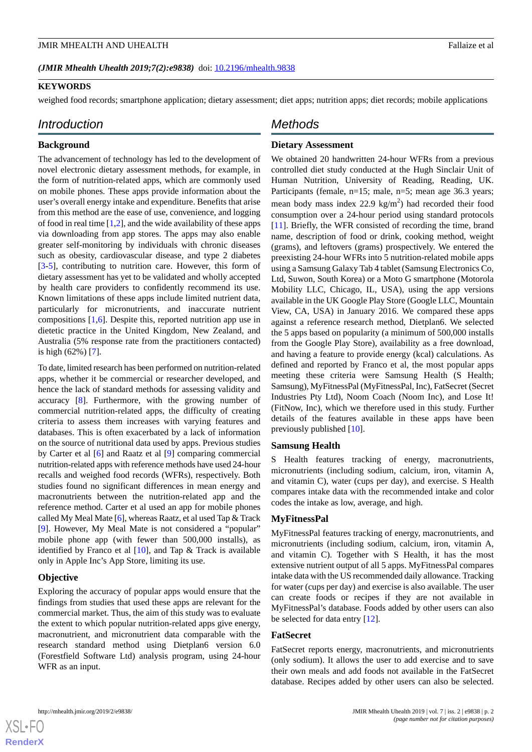#### *(JMIR Mhealth Uhealth 2019;7(2):e9838)* doi: **10.2196/mhealth.9838**

#### **KEYWORDS**

weighed food records; smartphone application; dietary assessment; diet apps; nutrition apps; diet records; mobile applications

#### *Introduction*

#### **Background**

The advancement of technology has led to the development of novel electronic dietary assessment methods, for example, in the form of nutrition-related apps, which are commonly used on mobile phones. These apps provide information about the user's overall energy intake and expenditure. Benefits that arise from this method are the ease of use, convenience, and logging of food in real time  $[1,2]$  $[1,2]$  $[1,2]$ , and the wide availability of these apps via downloading from app stores. The apps may also enable greater self-monitoring by individuals with chronic diseases such as obesity, cardiovascular disease, and type 2 diabetes [[3](#page-11-2)[-5](#page-11-3)], contributing to nutrition care. However, this form of dietary assessment has yet to be validated and wholly accepted by health care providers to confidently recommend its use. Known limitations of these apps include limited nutrient data, particularly for micronutrients, and inaccurate nutrient compositions [\[1](#page-11-0),[6\]](#page-11-4). Despite this, reported nutrition app use in dietetic practice in the United Kingdom, New Zealand, and Australia (5% response rate from the practitioners contacted) is high (62%) [[7\]](#page-11-5).

To date, limited research has been performed on nutrition-related apps, whether it be commercial or researcher developed, and hence the lack of standard methods for assessing validity and accuracy [[8\]](#page-11-6). Furthermore, with the growing number of commercial nutrition-related apps, the difficulty of creating criteria to assess them increases with varying features and databases. This is often exacerbated by a lack of information on the source of nutritional data used by apps. Previous studies by Carter et al [[6\]](#page-11-4) and Raatz et al [\[9](#page-11-7)] comparing commercial nutrition-related apps with reference methods have used 24-hour recalls and weighed food records (WFRs), respectively. Both studies found no significant differences in mean energy and macronutrients between the nutrition-related app and the reference method. Carter et al used an app for mobile phones called My Meal Mate [\[6](#page-11-4)], whereas Raatz, et al used Tap & Track [[9\]](#page-11-7). However, My Meal Mate is not considered a "popular" mobile phone app (with fewer than 500,000 installs), as identified by Franco et al [\[10](#page-11-8)], and Tap & Track is available only in Apple Inc's App Store, limiting its use.

#### **Objective**

Exploring the accuracy of popular apps would ensure that the findings from studies that used these apps are relevant for the commercial market. Thus, the aim of this study was to evaluate the extent to which popular nutrition-related apps give energy, macronutrient, and micronutrient data comparable with the research standard method using Dietplan6 version 6.0 (Forestfield Software Ltd) analysis program, using 24-hour WFR as an input.

#### *Methods*

#### **Dietary Assessment**

We obtained 20 handwritten 24-hour WFRs from a previous controlled diet study conducted at the Hugh Sinclair Unit of Human Nutrition, University of Reading, Reading, UK. Participants (female, n=15; male, n=5; mean age 36.3 years; mean body mass index 22.9  $\text{kg/m}^2$ ) had recorded their food consumption over a 24-hour period using standard protocols [[11\]](#page-12-0). Briefly, the WFR consisted of recording the time, brand name, description of food or drink, cooking method, weight (grams), and leftovers (grams) prospectively. We entered the preexisting 24-hour WFRs into 5 nutrition-related mobile apps using a Samsung Galaxy Tab 4 tablet (Samsung Electronics Co, Ltd, Suwon, South Korea) or a Moto G smartphone (Motorola Mobility LLC, Chicago, IL, USA), using the app versions available in the UK Google Play Store (Google LLC, Mountain View, CA, USA) in January 2016. We compared these apps against a reference research method, Dietplan6. We selected the 5 apps based on popularity (a minimum of 500,000 installs from the Google Play Store), availability as a free download, and having a feature to provide energy (kcal) calculations. As defined and reported by Franco et al, the most popular apps meeting these criteria were Samsung Health (S Health; Samsung), MyFitnessPal (MyFitnessPal, Inc), FatSecret (Secret Industries Pty Ltd), Noom Coach (Noom Inc), and Lose It! (FitNow, Inc), which we therefore used in this study. Further details of the features available in these apps have been previously published [[10\]](#page-11-8).

#### **Samsung Health**

S Health features tracking of energy, macronutrients, micronutrients (including sodium, calcium, iron, vitamin A, and vitamin C), water (cups per day), and exercise. S Health compares intake data with the recommended intake and color codes the intake as low, average, and high.

#### **MyFitnessPal**

MyFitnessPal features tracking of energy, macronutrients, and micronutrients (including sodium, calcium, iron, vitamin A, and vitamin C). Together with S Health, it has the most extensive nutrient output of all 5 apps. MyFitnessPal compares intake data with the US recommended daily allowance. Tracking for water (cups per day) and exercise is also available. The user can create foods or recipes if they are not available in MyFitnessPal's database. Foods added by other users can also be selected for data entry [[12\]](#page-12-1).

#### **FatSecret**

FatSecret reports energy, macronutrients, and micronutrients (only sodium). It allows the user to add exercise and to save their own meals and add foods not available in the FatSecret database. Recipes added by other users can also be selected.

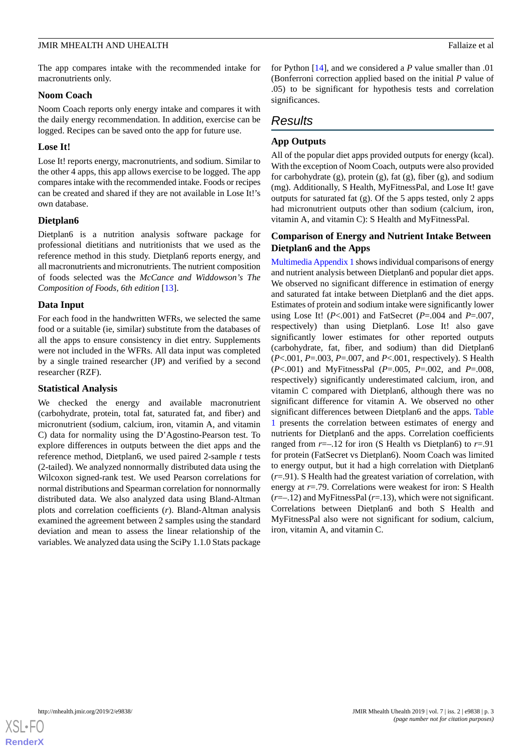The app compares intake with the recommended intake for macronutrients only.

#### **Noom Coach**

Noom Coach reports only energy intake and compares it with the daily energy recommendation. In addition, exercise can be logged. Recipes can be saved onto the app for future use.

#### **Lose It!**

Lose It! reports energy, macronutrients, and sodium. Similar to the other 4 apps, this app allows exercise to be logged. The app compares intake with the recommended intake. Foods or recipes can be created and shared if they are not available in Lose It!'s own database.

#### **Dietplan6**

Dietplan6 is a nutrition analysis software package for professional dietitians and nutritionists that we used as the reference method in this study. Dietplan6 reports energy, and all macronutrients and micronutrients. The nutrient composition of foods selected was the *McCance and Widdowson's The Composition of Foods, 6th edition* [\[13](#page-12-2)].

#### **Data Input**

For each food in the handwritten WFRs, we selected the same food or a suitable (ie, similar) substitute from the databases of all the apps to ensure consistency in diet entry. Supplements were not included in the WFRs. All data input was completed by a single trained researcher (JP) and verified by a second researcher (RZF).

#### **Statistical Analysis**

We checked the energy and available macronutrient (carbohydrate, protein, total fat, saturated fat, and fiber) and micronutrient (sodium, calcium, iron, vitamin A, and vitamin C) data for normality using the D'Agostino-Pearson test. To explore differences in outputs between the diet apps and the reference method, Dietplan6, we used paired 2-sample *t* tests (2-tailed). We analyzed nonnormally distributed data using the Wilcoxon signed-rank test. We used Pearson correlations for normal distributions and Spearman correlation for nonnormally distributed data. We also analyzed data using Bland-Altman plots and correlation coefficients (*r*). Bland-Altman analysis examined the agreement between 2 samples using the standard deviation and mean to assess the linear relationship of the variables. We analyzed data using the SciPy 1.1.0 Stats package

for Python [\[14](#page-12-3)], and we considered a *P* value smaller than .01 (Bonferroni correction applied based on the initial *P* value of .05) to be significant for hypothesis tests and correlation significances.

#### *Results*

#### **App Outputs**

All of the popular diet apps provided outputs for energy (kcal). With the exception of Noom Coach, outputs were also provided for carbohydrate  $(g)$ , protein  $(g)$ , fat  $(g)$ , fiber  $(g)$ , and sodium (mg). Additionally, S Health, MyFitnessPal, and Lose It! gave outputs for saturated fat (g). Of the 5 apps tested, only 2 apps had micronutrient outputs other than sodium (calcium, iron, vitamin A, and vitamin C): S Health and MyFitnessPal.

#### **Comparison of Energy and Nutrient Intake Between Dietplan6 and the Apps**

[Multimedia Appendix 1](#page-11-9) shows individual comparisons of energy and nutrient analysis between Dietplan6 and popular diet apps. We observed no significant difference in estimation of energy and saturated fat intake between Dietplan6 and the diet apps. Estimates of protein and sodium intake were significantly lower using Lose It! (*P*<.001) and FatSecret (*P*=.004 and *P*=.007, respectively) than using Dietplan6. Lose It! also gave significantly lower estimates for other reported outputs (carbohydrate, fat, fiber, and sodium) than did Dietplan6 (*P*<.001, *P*=.003, *P*=.007, and *P*<.001, respectively). S Health (*P*<.001) and MyFitnessPal (*P*=.005, *P*=.002, and *P*=.008, respectively) significantly underestimated calcium, iron, and vitamin C compared with Dietplan6, although there was no significant difference for vitamin A. We observed no other significant differences between Dietplan6 and the apps. [Table](#page-3-0) [1](#page-3-0) presents the correlation between estimates of energy and nutrients for Dietplan6 and the apps. Correlation coefficients ranged from  $r=-.12$  for iron (S Health vs Dietplan6) to  $r=.91$ for protein (FatSecret vs Dietplan6). Noom Coach was limited to energy output, but it had a high correlation with Dietplan6 (*r*=.91). S Health had the greatest variation of correlation, with energy at *r*=.79. Correlations were weakest for iron: S Health (*r*=–.12) and MyFitnessPal (*r*=.13), which were not significant. Correlations between Dietplan6 and both S Health and MyFitnessPal also were not significant for sodium, calcium, iron, vitamin A, and vitamin C.

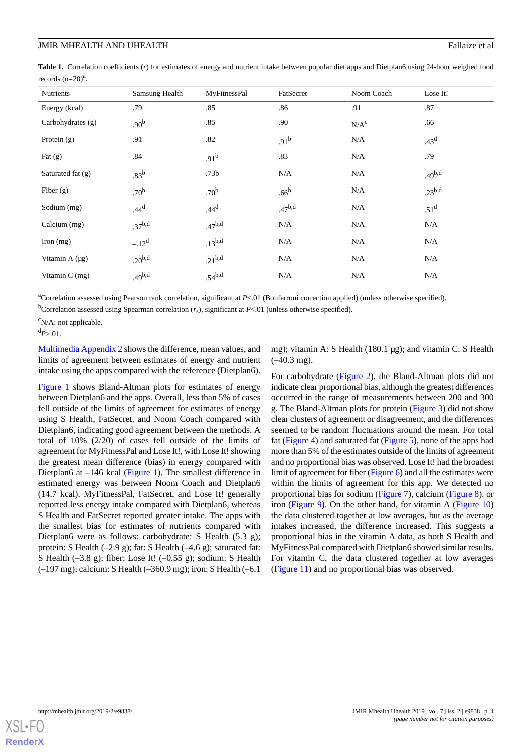<span id="page-3-0"></span>**Table 1.** Correlation coefficients (*r*) for estimates of energy and nutrient intake between popular diet apps and Dietplan6 using 24-hour weighed food records  $(n=20)^a$ .

| Nutrients           | Samsung Health     | MyFitnessPal     | FatSecret        | Noom Coach | Lose It!         |
|---------------------|--------------------|------------------|------------------|------------|------------------|
| Energy (kcal)       | .79                | .85              | .86              | .91        | .87              |
| Carbohydrates $(g)$ | .90 <sup>b</sup>   | .85              | .90              | $N/A^c$    | .66              |
| Protein $(g)$       | .91                | .82              | .91 <sup>b</sup> | N/A        | .43 <sup>d</sup> |
| Fat $(g)$           | .84                | .91 <sup>b</sup> | .83              | N/A        | .79              |
| Saturated fat (g)   | .83 <sup>b</sup>   | .73 <sub>b</sub> | N/A              | N/A        | $.49^{b,d}$      |
| Fiber $(g)$         | .70 <sup>b</sup>   | .70 <sup>b</sup> | .66 <sup>b</sup> | N/A        | $.23^{b,d}$      |
| Sodium (mg)         | .44 <sup>d</sup>   | .44 <sup>d</sup> | $.47^{b,d}$      | N/A        | .51 <sup>d</sup> |
| Calcium (mg)        | $.37^{b,d}$        | $.47^{b,d}$      | N/A              | N/A        | N/A              |
| Iron (mg)           | $-.12^d$           | $.13^{b,d}$      | N/A              | N/A        | N/A              |
| Vitamin A (µg)      | .20 <sup>b,d</sup> | $.21^{b,d}$      | N/A              | N/A        | N/A              |
| Vitamin $C$ (mg)    | $.49^{b,d}$        | $.54^{b,d}$      | N/A              | N/A        | N/A              |

<sup>a</sup>Correlation assessed using Pearson rank correlation, significant at *P*<.01 (Bonferroni correction applied) (unless otherwise specified).

<sup>b</sup>Correlation assessed using Spearman correlation  $(r_s)$ , significant at *P*<.01 (unless otherwise specified).

 $\rm ^{c}N/A$ : not applicable.

 $d_{P>0.01}$ .

[Multimedia Appendix 2](#page-11-10) shows the difference, mean values, and limits of agreement between estimates of energy and nutrient intake using the apps compared with the reference (Dietplan6).

[Figure 1](#page-4-0) shows Bland-Altman plots for estimates of energy between Dietplan6 and the apps. Overall, less than 5% of cases fell outside of the limits of agreement for estimates of energy using S Health, FatSecret, and Noom Coach compared with Dietplan6, indicating good agreement between the methods. A total of 10% (2/20) of cases fell outside of the limits of agreement for MyFitnessPal and Lose It!, with Lose It! showing the greatest mean difference (bias) in energy compared with Dietplan6 at –146 kcal [\(Figure 1](#page-4-0)). The smallest difference in estimated energy was between Noom Coach and Dietplan6 (14.7 kcal). MyFitnessPal, FatSecret, and Lose It! generally reported less energy intake compared with Dietplan6, whereas S Health and FatSecret reported greater intake. The apps with the smallest bias for estimates of nutrients compared with Dietplan6 were as follows: carbohydrate: S Health (5.3 g); protein: S Health (–2.9 g); fat: S Health (–4.6 g); saturated fat: S Health (–3.8 g); fiber: Lose It! (–0.55 g); sodium: S Health (–197 mg); calcium: S Health (–360.9 mg); iron: S Health (–6.1

mg); vitamin A: S Health (180.1 μg); and vitamin C: S Health  $(-40.3 \text{ mg})$ .

For carbohydrate ([Figure 2\)](#page-5-0), the Bland-Altman plots did not indicate clear proportional bias, although the greatest differences occurred in the range of measurements between 200 and 300 g. The Bland-Altman plots for protein ([Figure 3](#page-5-1)) did not show clear clusters of agreement or disagreement, and the differences seemed to be random fluctuations around the mean. For total fat ([Figure 4](#page-6-0)) and saturated fat ([Figure 5\)](#page-6-1), none of the apps had more than 5% of the estimates outside of the limits of agreement and no proportional bias was observed. Lose It! had the broadest limit of agreement for fiber ([Figure 6](#page-7-0)) and all the estimates were within the limits of agreement for this app. We detected no proportional bias for sodium [\(Figure 7\)](#page-8-0), calcium ([Figure 8](#page-8-1)). or iron [\(Figure 9](#page-9-0)). On the other hand, for vitamin A [\(Figure 10](#page-9-1)) the data clustered together at low averages, but as the average intakes increased, the difference increased. This suggests a proportional bias in the vitamin A data, as both S Health and MyFitnessPal compared with Dietplan6 showed similar results. For vitamin C, the data clustered together at low averages ([Figure 11\)](#page-9-2) and no proportional bias was observed.

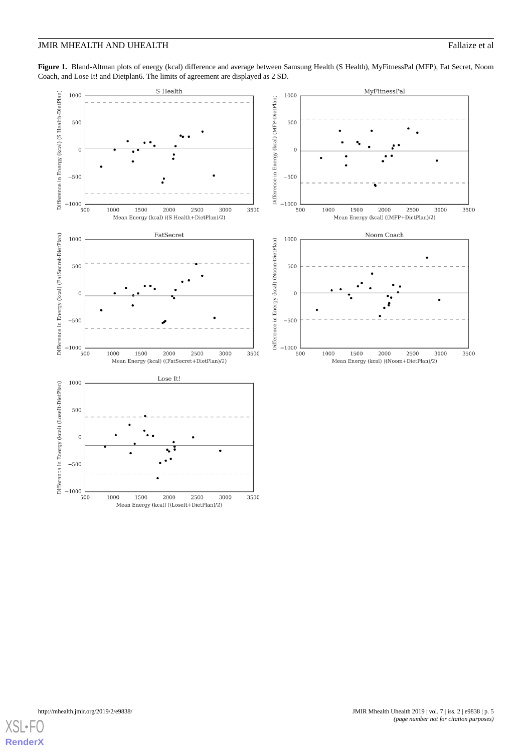<span id="page-4-0"></span>Figure 1. Bland-Altman plots of energy (kcal) difference and average between Samsung Health (S Health), MyFitnessPal (MFP), Fat Secret, Noom Coach, and Lose It! and Dietplan6. The limits of agreement are displayed as 2 SD.



Mean Energy (kcal) ((LoseIt+DietPlan)/2)

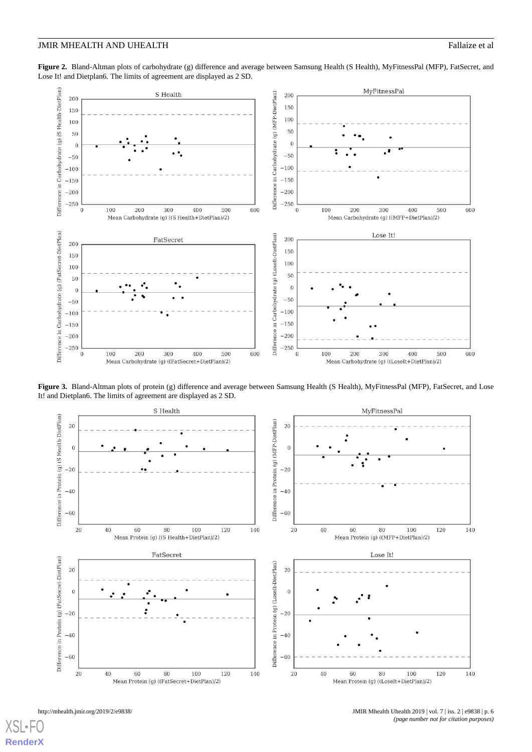<span id="page-5-0"></span>**Figure 2.** Bland-Altman plots of carbohydrate (g) difference and average between Samsung Health (S Health), MyFitnessPal (MFP), FatSecret, and Lose It! and Dietplan6. The limits of agreement are displayed as 2 SD.



<span id="page-5-1"></span>Figure 3. Bland-Altman plots of protein (g) difference and average between Samsung Health (S Health), MyFitnessPal (MFP), FatSecret, and Lose It! and Dietplan6. The limits of agreement are displayed as 2 SD.



[XSL](http://www.w3.org/Style/XSL)•F **[RenderX](http://www.renderx.com/)**

http://mhealth.jmir.org/2019/2/e9838/ JMIR Mhealth Uhealth 2019 | vol. 7 | iss. 2 | e9838 | p. 6 *(page number not for citation purposes)*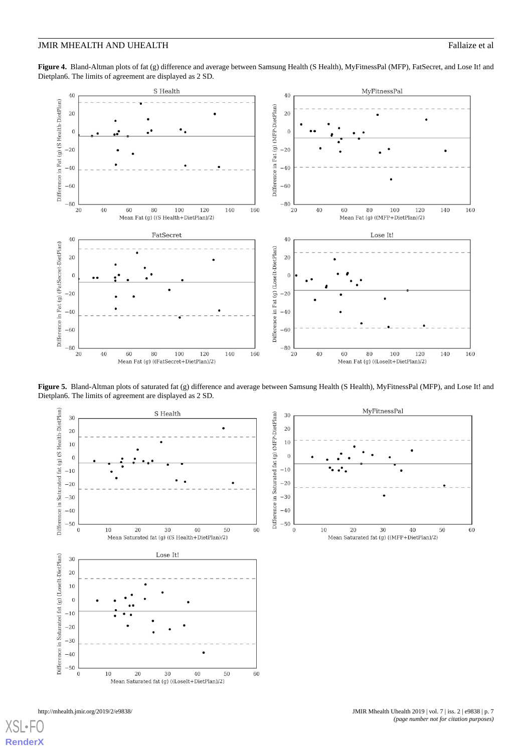<span id="page-6-0"></span>Figure 4. Bland-Altman plots of fat (g) difference and average between Samsung Health (S Health), MyFitnessPal (MFP), FatSecret, and Lose It! and Dietplan6. The limits of agreement are displayed as 2 SD.



<span id="page-6-1"></span>**Figure 5.** Bland-Altman plots of saturated fat (g) difference and average between Samsung Health (S Health), MyFitnessPal (MFP), and Lose It! and Dietplan6. The limits of agreement are displayed as 2 SD.

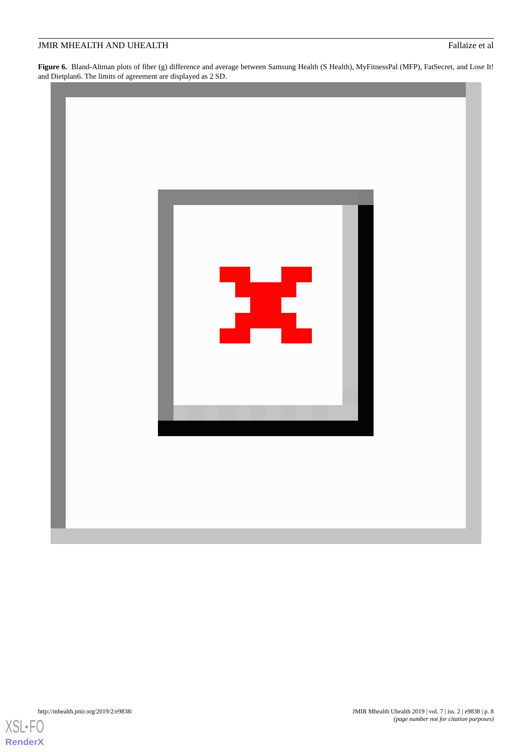<span id="page-7-0"></span>**Figure 6.** Bland-Altman plots of fiber (g) difference and average between Samsung Health (S Health), MyFitnessPal (MFP), FatSecret, and Lose It! and Dietplan6. The limits of agreement are displayed as 2 SD.



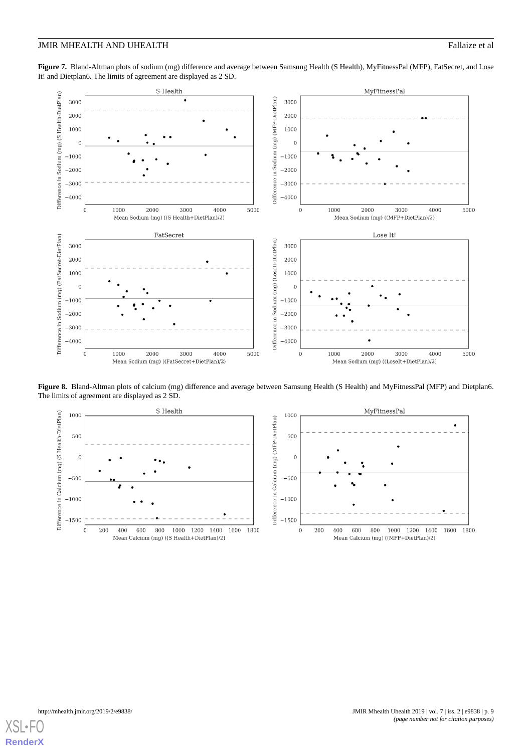<span id="page-8-0"></span>**Figure 7.** Bland-Altman plots of sodium (mg) difference and average between Samsung Health (S Health), MyFitnessPal (MFP), FatSecret, and Lose It! and Dietplan6. The limits of agreement are displayed as 2 SD.



<span id="page-8-1"></span>**Figure 8.** Bland-Altman plots of calcium (mg) difference and average between Samsung Health (S Health) and MyFitnessPal (MFP) and Dietplan6. The limits of agreement are displayed as 2 SD.



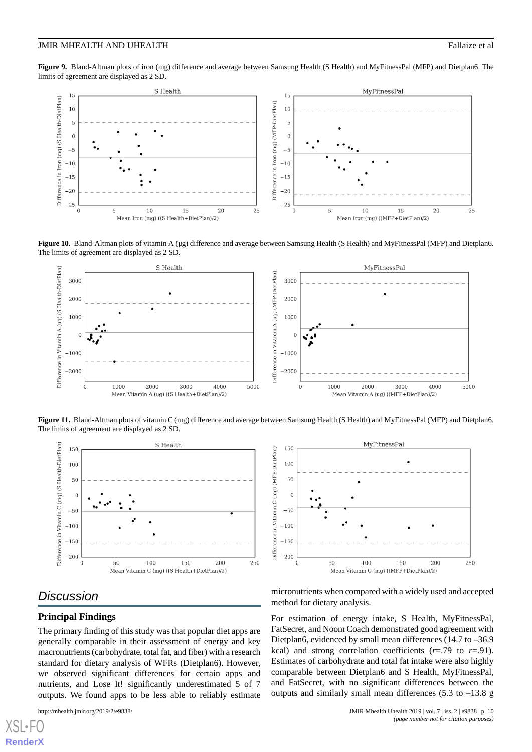<span id="page-9-0"></span>**Figure 9.** Bland-Altman plots of iron (mg) difference and average between Samsung Health (S Health) and MyFitnessPal (MFP) and Dietplan6. The limits of agreement are displayed as 2 SD.



<span id="page-9-1"></span>**Figure 10.** Bland-Altman plots of vitamin A (μg) difference and average between Samsung Health (S Health) and MyFitnessPal (MFP) and Dietplan6. The limits of agreement are displayed as 2 SD.



<span id="page-9-2"></span>**Figure 11.** Bland-Altman plots of vitamin C (mg) difference and average between Samsung Health (S Health) and MyFitnessPal (MFP) and Dietplan6. The limits of agreement are displayed as 2 SD.





#### *Discussion*

#### **Principal Findings**

The primary finding of this study was that popular diet apps are generally comparable in their assessment of energy and key macronutrients (carbohydrate, total fat, and fiber) with a research standard for dietary analysis of WFRs (Dietplan6). However, we observed significant differences for certain apps and nutrients, and Lose It! significantly underestimated 5 of 7 outputs. We found apps to be less able to reliably estimate

[XSL](http://www.w3.org/Style/XSL)•FO **[RenderX](http://www.renderx.com/)**

micronutrients when compared with a widely used and accepted method for dietary analysis.

For estimation of energy intake, S Health, MyFitnessPal, FatSecret, and Noom Coach demonstrated good agreement with Dietplan6, evidenced by small mean differences (14.7 to -36.9) kcal) and strong correlation coefficients  $(r=0.79)$  to  $r=0.91$ . Estimates of carbohydrate and total fat intake were also highly comparable between Dietplan6 and S Health, MyFitnessPal, and FatSecret, with no significant differences between the outputs and similarly small mean differences (5.3 to –13.8 g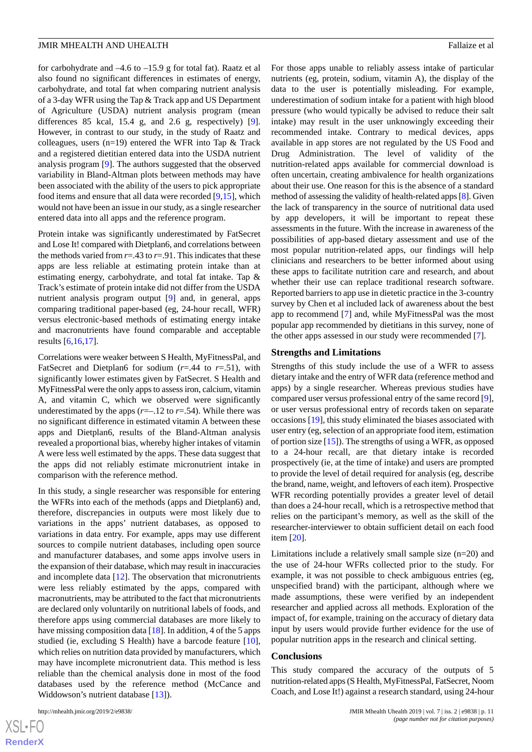for carbohydrate and –4.6 to –15.9 g for total fat). Raatz et al also found no significant differences in estimates of energy, carbohydrate, and total fat when comparing nutrient analysis of a 3-day WFR using the Tap & Track app and US Department of Agriculture (USDA) nutrient analysis program (mean differences 85 kcal, 15.4 g, and 2.6 g, respectively) [[9\]](#page-11-7). However, in contrast to our study, in the study of Raatz and colleagues, users (n=19) entered the WFR into Tap & Track and a registered dietitian entered data into the USDA nutrient analysis program [\[9](#page-11-7)]. The authors suggested that the observed variability in Bland-Altman plots between methods may have been associated with the ability of the users to pick appropriate food items and ensure that all data were recorded [[9,](#page-11-7)[15](#page-12-4)], which would not have been an issue in our study, as a single researcher entered data into all apps and the reference program.

Protein intake was significantly underestimated by FatSecret and Lose It! compared with Dietplan6, and correlations between the methods varied from  $r = .43$  to  $r = .91$ . This indicates that these apps are less reliable at estimating protein intake than at estimating energy, carbohydrate, and total fat intake. Tap & Track's estimate of protein intake did not differ from the USDA nutrient analysis program output [\[9\]](#page-11-7) and, in general, apps comparing traditional paper-based (eg, 24-hour recall, WFR) versus electronic-based methods of estimating energy intake and macronutrients have found comparable and acceptable results [\[6,](#page-11-4)[16](#page-12-5)[,17](#page-12-6)].

Correlations were weaker between S Health, MyFitnessPal, and FatSecret and Dietplan6 for sodium (*r*=.44 to *r*=.51), with significantly lower estimates given by FatSecret. S Health and MyFitnessPal were the only apps to assess iron, calcium, vitamin A, and vitamin C, which we observed were significantly underestimated by the apps  $(r=-.12 \text{ to } r=.54)$ . While there was no significant difference in estimated vitamin A between these apps and Dietplan6, results of the Bland-Altman analysis revealed a proportional bias, whereby higher intakes of vitamin A were less well estimated by the apps. These data suggest that the apps did not reliably estimate micronutrient intake in comparison with the reference method.

In this study, a single researcher was responsible for entering the WFRs into each of the methods (apps and Dietplan6) and, therefore, discrepancies in outputs were most likely due to variations in the apps' nutrient databases, as opposed to variations in data entry. For example, apps may use different sources to compile nutrient databases, including open source and manufacturer databases, and some apps involve users in the expansion of their database, which may result in inaccuracies and incomplete data [[12\]](#page-12-1). The observation that micronutrients were less reliably estimated by the apps, compared with macronutrients, may be attributed to the fact that micronutrients are declared only voluntarily on nutritional labels of foods, and therefore apps using commercial databases are more likely to have missing composition data [[18\]](#page-12-7). In addition, 4 of the 5 apps studied (ie, excluding S Health) have a barcode feature [[10\]](#page-11-8), which relies on nutrition data provided by manufacturers, which may have incomplete micronutrient data. This method is less reliable than the chemical analysis done in most of the food databases used by the reference method (McCance and Widdowson's nutrient database [\[13](#page-12-2)]).

For those apps unable to reliably assess intake of particular nutrients (eg, protein, sodium, vitamin A), the display of the data to the user is potentially misleading. For example, underestimation of sodium intake for a patient with high blood pressure (who would typically be advised to reduce their salt intake) may result in the user unknowingly exceeding their recommended intake. Contrary to medical devices, apps available in app stores are not regulated by the US Food and Drug Administration. The level of validity of the nutrition-related apps available for commercial download is often uncertain, creating ambivalence for health organizations about their use. One reason for this is the absence of a standard method of assessing the validity of health-related apps [[8\]](#page-11-6). Given the lack of transparency in the source of nutritional data used by app developers, it will be important to repeat these assessments in the future. With the increase in awareness of the possibilities of app-based dietary assessment and use of the most popular nutrition-related apps, our findings will help clinicians and researchers to be better informed about using these apps to facilitate nutrition care and research, and about whether their use can replace traditional research software. Reported barriers to app use in dietetic practice in the 3-country survey by Chen et al included lack of awareness about the best app to recommend [\[7](#page-11-5)] and, while MyFitnessPal was the most popular app recommended by dietitians in this survey, none of the other apps assessed in our study were recommended [\[7](#page-11-5)].

#### **Strengths and Limitations**

Strengths of this study include the use of a WFR to assess dietary intake and the entry of WFR data (reference method and apps) by a single researcher. Whereas previous studies have compared user versus professional entry of the same record [[9\]](#page-11-7), or user versus professional entry of records taken on separate occasions [[19\]](#page-12-8), this study eliminated the biases associated with user entry (eg, selection of an appropriate food item, estimation of portion size [[15\]](#page-12-4)). The strengths of using a WFR, as opposed to a 24-hour recall, are that dietary intake is recorded prospectively (ie, at the time of intake) and users are prompted to provide the level of detail required for analysis (eg, describe the brand, name, weight, and leftovers of each item). Prospective WFR recording potentially provides a greater level of detail than does a 24-hour recall, which is a retrospective method that relies on the participant's memory, as well as the skill of the researcher-interviewer to obtain sufficient detail on each food item [\[20](#page-12-9)].

Limitations include a relatively small sample size (n=20) and the use of 24-hour WFRs collected prior to the study. For example, it was not possible to check ambiguous entries (eg, unspecified brand) with the participant, although where we made assumptions, these were verified by an independent researcher and applied across all methods. Exploration of the impact of, for example, training on the accuracy of dietary data input by users would provide further evidence for the use of popular nutrition apps in the research and clinical setting.

#### **Conclusions**

This study compared the accuracy of the outputs of 5 nutrition-related apps (S Health, MyFitnessPal, FatSecret, Noom Coach, and Lose It!) against a research standard, using 24-hour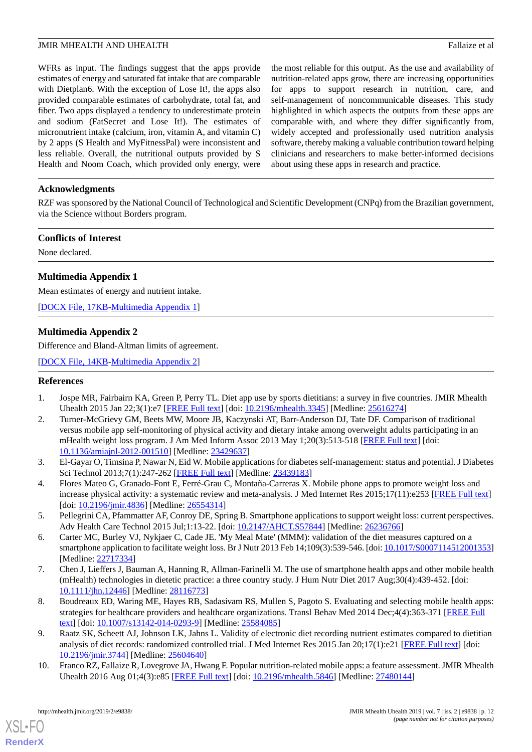WFRs as input. The findings suggest that the apps provide estimates of energy and saturated fat intake that are comparable with Dietplan6. With the exception of Lose It!, the apps also provided comparable estimates of carbohydrate, total fat, and fiber. Two apps displayed a tendency to underestimate protein and sodium (FatSecret and Lose It!). The estimates of micronutrient intake (calcium, iron, vitamin A, and vitamin C) by 2 apps (S Health and MyFitnessPal) were inconsistent and less reliable. Overall, the nutritional outputs provided by S Health and Noom Coach, which provided only energy, were the most reliable for this output. As the use and availability of nutrition-related apps grow, there are increasing opportunities for apps to support research in nutrition, care, and self-management of noncommunicable diseases. This study highlighted in which aspects the outputs from these apps are comparable with, and where they differ significantly from, widely accepted and professionally used nutrition analysis software, thereby making a valuable contribution toward helping clinicians and researchers to make better-informed decisions about using these apps in research and practice.

#### **Acknowledgments**

RZF was sponsored by the National Council of Technological and Scientific Development (CNPq) from the Brazilian government, via the Science without Borders program.

#### **Conflicts of Interest**

<span id="page-11-9"></span>None declared.

#### **Multimedia Appendix 1**

<span id="page-11-10"></span>Mean estimates of energy and nutrient intake.

[[DOCX File, 17KB-Multimedia Appendix 1\]](https://jmir.org/api/download?alt_name=mhealth_v7i2e9838_app1.docx&filename=89fecc1e541a05f65a6c29175f29a421.docx)

#### **Multimedia Appendix 2**

Difference and Bland-Altman limits of agreement.

<span id="page-11-0"></span>[[DOCX File, 14KB-Multimedia Appendix 2\]](https://jmir.org/api/download?alt_name=mhealth_v7i2e9838_app2.docx&filename=d0265636d5c0184595e9f2b2647d03ee.docx)

#### <span id="page-11-1"></span>**References**

- 1. Jospe MR, Fairbairn KA, Green P, Perry TL. Diet app use by sports dietitians: a survey in five countries. JMIR Mhealth Uhealth 2015 Jan 22;3(1):e7 [\[FREE Full text\]](http://mhealth.jmir.org/2015/1/e7/) [doi: [10.2196/mhealth.3345](http://dx.doi.org/10.2196/mhealth.3345)] [Medline: [25616274\]](http://www.ncbi.nlm.nih.gov/entrez/query.fcgi?cmd=Retrieve&db=PubMed&list_uids=25616274&dopt=Abstract)
- <span id="page-11-2"></span>2. Turner-McGrievy GM, Beets MW, Moore JB, Kaczynski AT, Barr-Anderson DJ, Tate DF. Comparison of traditional versus mobile app self-monitoring of physical activity and dietary intake among overweight adults participating in an mHealth weight loss program. J Am Med Inform Assoc 2013 May 1;20(3):513-518 [[FREE Full text](https://academic.oup.com/jamia/article/20/3/513/741491)] [doi: [10.1136/amiajnl-2012-001510](http://dx.doi.org/10.1136/amiajnl-2012-001510)] [Medline: [23429637](http://www.ncbi.nlm.nih.gov/entrez/query.fcgi?cmd=Retrieve&db=PubMed&list_uids=23429637&dopt=Abstract)]
- <span id="page-11-3"></span>3. El-Gayar O, Timsina P, Nawar N, Eid W. Mobile applications for diabetes self-management: status and potential. J Diabetes Sci Technol 2013;7(1):247-262 [[FREE Full text](http://europepmc.org/abstract/MED/23439183)] [Medline: [23439183\]](http://www.ncbi.nlm.nih.gov/entrez/query.fcgi?cmd=Retrieve&db=PubMed&list_uids=23439183&dopt=Abstract)
- <span id="page-11-4"></span>4. Flores Mateo G, Granado-Font E, Ferré-Grau C, Montaña-Carreras X. Mobile phone apps to promote weight loss and increase physical activity: a systematic review and meta-analysis. J Med Internet Res 2015;17(11):e253 [\[FREE Full text\]](http://www.jmir.org/2015/11/e253/) [doi: [10.2196/jmir.4836\]](http://dx.doi.org/10.2196/jmir.4836) [Medline: [26554314\]](http://www.ncbi.nlm.nih.gov/entrez/query.fcgi?cmd=Retrieve&db=PubMed&list_uids=26554314&dopt=Abstract)
- <span id="page-11-5"></span>5. Pellegrini CA, Pfammatter AF, Conroy DE, Spring B. Smartphone applications to support weight loss: current perspectives. Adv Health Care Technol 2015 Jul;1:13-22. [doi: [10.2147/AHCT.S57844\]](http://dx.doi.org/10.2147/AHCT.S57844) [Medline: [26236766](http://www.ncbi.nlm.nih.gov/entrez/query.fcgi?cmd=Retrieve&db=PubMed&list_uids=26236766&dopt=Abstract)]
- <span id="page-11-6"></span>6. Carter MC, Burley VJ, Nykjaer C, Cade JE. 'My Meal Mate' (MMM): validation of the diet measures captured on a smartphone application to facilitate weight loss. Br J Nutr 2013 Feb 14;109(3):539-546. [doi: [10.1017/S0007114512001353\]](http://dx.doi.org/10.1017/S0007114512001353) [Medline: [22717334](http://www.ncbi.nlm.nih.gov/entrez/query.fcgi?cmd=Retrieve&db=PubMed&list_uids=22717334&dopt=Abstract)]
- <span id="page-11-7"></span>7. Chen J, Lieffers J, Bauman A, Hanning R, Allman-Farinelli M. The use of smartphone health apps and other mobile health (mHealth) technologies in dietetic practice: a three country study. J Hum Nutr Diet 2017 Aug;30(4):439-452. [doi: [10.1111/jhn.12446](http://dx.doi.org/10.1111/jhn.12446)] [Medline: [28116773\]](http://www.ncbi.nlm.nih.gov/entrez/query.fcgi?cmd=Retrieve&db=PubMed&list_uids=28116773&dopt=Abstract)
- <span id="page-11-8"></span>8. Boudreaux ED, Waring ME, Hayes RB, Sadasivam RS, Mullen S, Pagoto S. Evaluating and selecting mobile health apps: strategies for healthcare providers and healthcare organizations. Transl Behav Med 2014 Dec;4(4):363-371 [\[FREE Full](http://europepmc.org/abstract/MED/25584085) [text](http://europepmc.org/abstract/MED/25584085)] [doi: [10.1007/s13142-014-0293-9\]](http://dx.doi.org/10.1007/s13142-014-0293-9) [Medline: [25584085](http://www.ncbi.nlm.nih.gov/entrez/query.fcgi?cmd=Retrieve&db=PubMed&list_uids=25584085&dopt=Abstract)]
- 9. Raatz SK, Scheett AJ, Johnson LK, Jahns L. Validity of electronic diet recording nutrient estimates compared to dietitian analysis of diet records: randomized controlled trial. J Med Internet Res 2015 Jan 20;17(1):e21 [\[FREE Full text\]](http://www.jmir.org/2015/1/e21/) [doi: [10.2196/jmir.3744](http://dx.doi.org/10.2196/jmir.3744)] [Medline: [25604640](http://www.ncbi.nlm.nih.gov/entrez/query.fcgi?cmd=Retrieve&db=PubMed&list_uids=25604640&dopt=Abstract)]
- 10. Franco RZ, Fallaize R, Lovegrove JA, Hwang F. Popular nutrition-related mobile apps: a feature assessment. JMIR Mhealth Uhealth 2016 Aug 01;4(3):e85 [\[FREE Full text\]](http://mhealth.jmir.org/2016/3/e85/) [doi: [10.2196/mhealth.5846](http://dx.doi.org/10.2196/mhealth.5846)] [Medline: [27480144\]](http://www.ncbi.nlm.nih.gov/entrez/query.fcgi?cmd=Retrieve&db=PubMed&list_uids=27480144&dopt=Abstract)